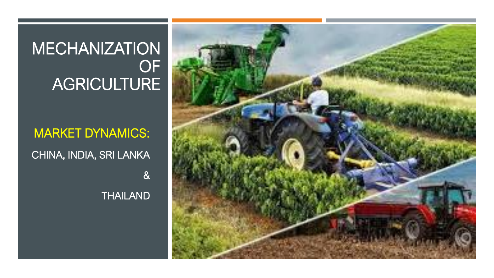## **MECHANIZATION** OF AGRICULTURE

MARKET DYNAMICS: CHINA, INDIA, SRI LANKA & **THAILAND** 

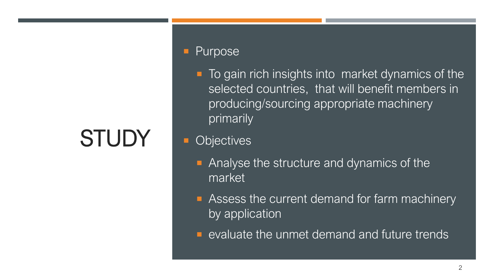# **STUDY**

#### Purpose

■ To gain rich insights into market dynamics of the selected countries, that will benefit members in producing/sourcing appropriate machinery primarily

#### **Objectives**

- **Analyse the structure and dynamics of the** market
- **Assess the current demand for farm machinery** by application
- **E** evaluate the unmet demand and future trends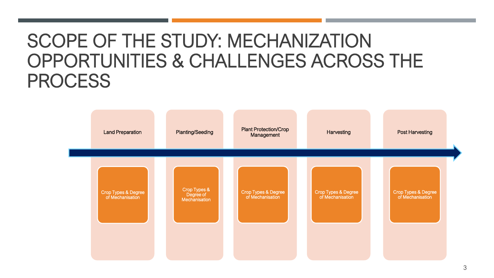# SCOPE OF THE STUDY: MECHANIZATION OPPORTUNITIES & CHALLENGES ACROSS THE PROCESS

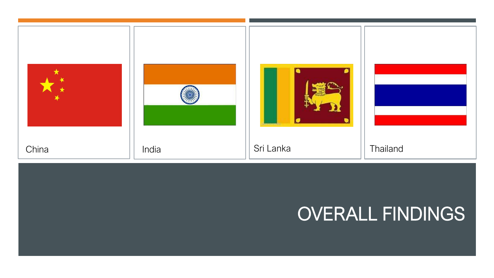

# OVERALL FINDINGS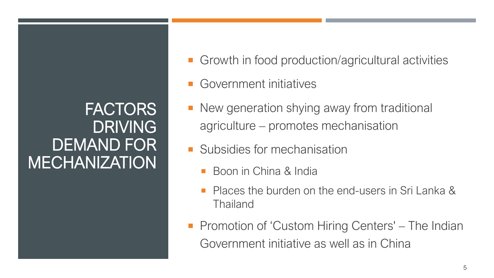## FACTORS DRIVING DEMAND FOR **MECHANIZATION**

- Growth in food production/agricultural activities
- Government initiatives
- New generation shying away from traditional agriculture – promotes mechanisation
- **Subsidies for mechanisation** 
	- Boon in China & India
	- Places the burden on the end-users in Sri Lanka & Thailand
- **Promotion of 'Custom Hiring Centers' The Indian** Government initiative as well as in China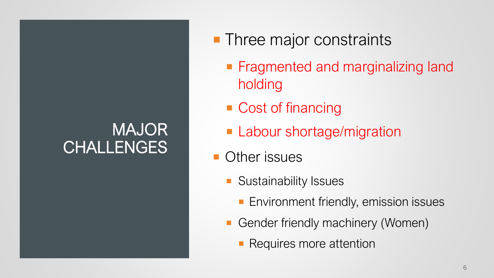# MAJOR CHALLENGES

- **Three major constraints** 
	- **Fragmented and marginalizing land** holding
	- Cost of financing
	- **Labour shortage/migration**
- **Other issues** 
	- **Sustainability Issues** 
		- **Environment friendly, emission issues**
	- Gender friendly machinery (Women)
		- **Requires more attention**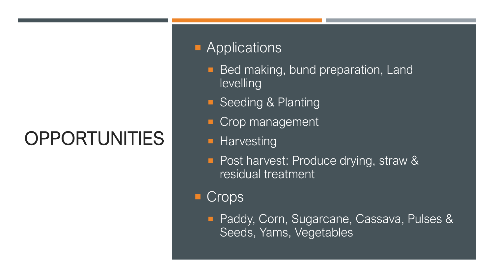# OPPORTUNITIES

#### **Applications**

- **Bed making, bund preparation, Land** levelling
- **Seeding & Planting**
- Crop management
- **Harvesting**
- Post harvest: Produce drying, straw & residual treatment
- Crops
	- **Paddy, Corn, Sugarcane, Cassava, Pulses &** Seeds, Yams, Vegetables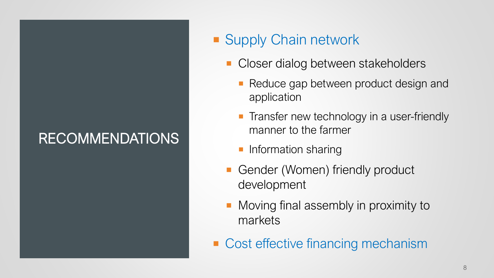## RECOMMENDATIONS

### **Supply Chain network**

- Closer dialog between stakeholders
	- Reduce gap between product design and application
	- **Transfer new technology in a user-friendly** manner to the farmer
	- **Information sharing**
- Gender (Women) friendly product development
- **Moving final assembly in proximity to** markets
- Cost effective financing mechanism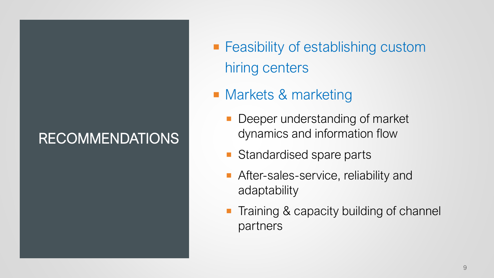## RECOMMENDATIONS

- **Feasibility of establishing custom** hiring centers
- **Narkets & marketing** 
	- Deeper understanding of market dynamics and information flow
	- Standardised spare parts
	- After-sales-service, reliability and adaptability
	- Training & capacity building of channel partners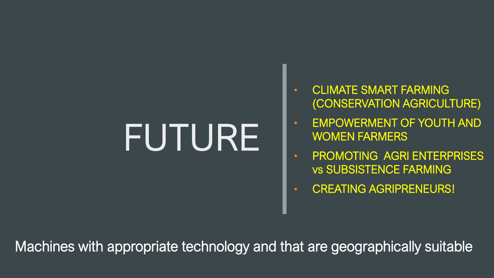# FUTURE

- CLIMATE SMART FARMING (CONSERVATION AGRICULTURE)
- EMPOWERMENT OF YOUTH AND WOMEN FARMERS
- PROMOTING AGRI ENTERPRISES vs SUBSISTENCE FARMING
- CREATING AGRIPRENEURS!

Machines with appropriate technology and that are geographically suitable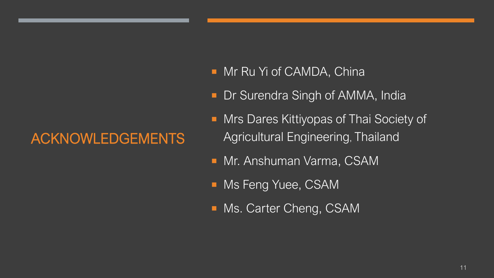### ACKNOWLEDGEMENTS

- **Mr Ru Yi of CAMDA, China**
- **Dr Surendra Singh of AMMA, India**
- **Mrs Dares Kittiyopas of Thai Society of** Agricultural Engineering, Thailand
- **Mr. Anshuman Varma, CSAM**
- **Ms Feng Yuee, CSAM**
- **Ms. Carter Cheng, CSAM**